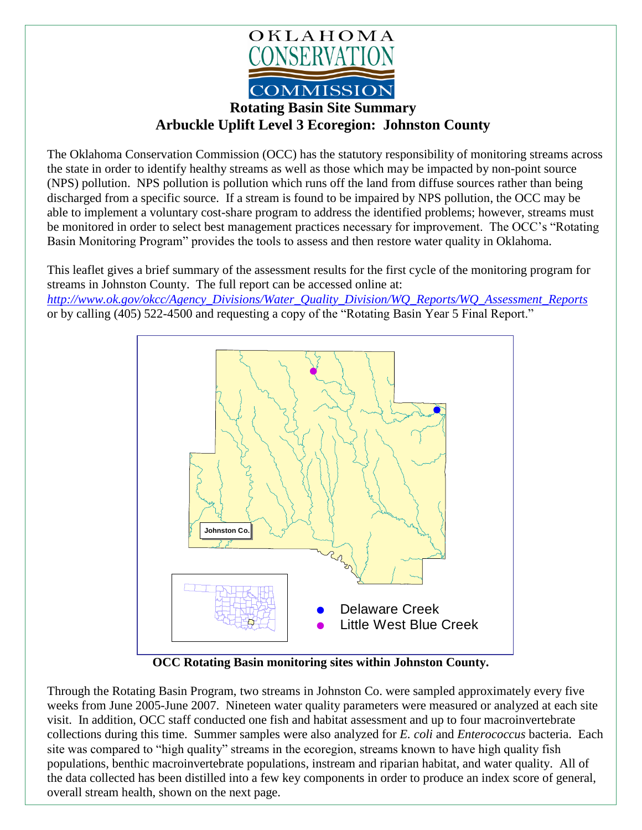

## **Rotating Basin Site Summary Arbuckle Uplift Level 3 Ecoregion: Johnston County**

The Oklahoma Conservation Commission (OCC) has the statutory responsibility of monitoring streams across the state in order to identify healthy streams as well as those which may be impacted by non-point source (NPS) pollution. NPS pollution is pollution which runs off the land from diffuse sources rather than being discharged from a specific source. If a stream is found to be impaired by NPS pollution, the OCC may be able to implement a voluntary cost-share program to address the identified problems; however, streams must be monitored in order to select best management practices necessary for improvement. The OCC's "Rotating Basin Monitoring Program" provides the tools to assess and then restore water quality in Oklahoma.

This leaflet gives a brief summary of the assessment results for the first cycle of the monitoring program for streams in Johnston County. The full report can be accessed online at: *[http://www.ok.gov/okcc/Agency\\_Divisions/Water\\_Quality\\_Division/WQ\\_Reports/WQ\\_Assessment\\_Reports](http://www.ok.gov/okcc/Agency_Divisions/Water_Quality_Division/WQ_Reports/WQ_Assessment_Reports)* or by calling (405) 522-4500 and requesting a copy of the "Rotating Basin Year 5 Final Report."



**OCC Rotating Basin monitoring sites within Johnston County.**

Through the Rotating Basin Program, two streams in Johnston Co. were sampled approximately every five weeks from June 2005-June 2007. Nineteen water quality parameters were measured or analyzed at each site visit. In addition, OCC staff conducted one fish and habitat assessment and up to four macroinvertebrate collections during this time. Summer samples were also analyzed for *E. coli* and *Enterococcus* bacteria. Each site was compared to "high quality" streams in the ecoregion, streams known to have high quality fish populations, benthic macroinvertebrate populations, instream and riparian habitat, and water quality. All of the data collected has been distilled into a few key components in order to produce an index score of general, overall stream health, shown on the next page.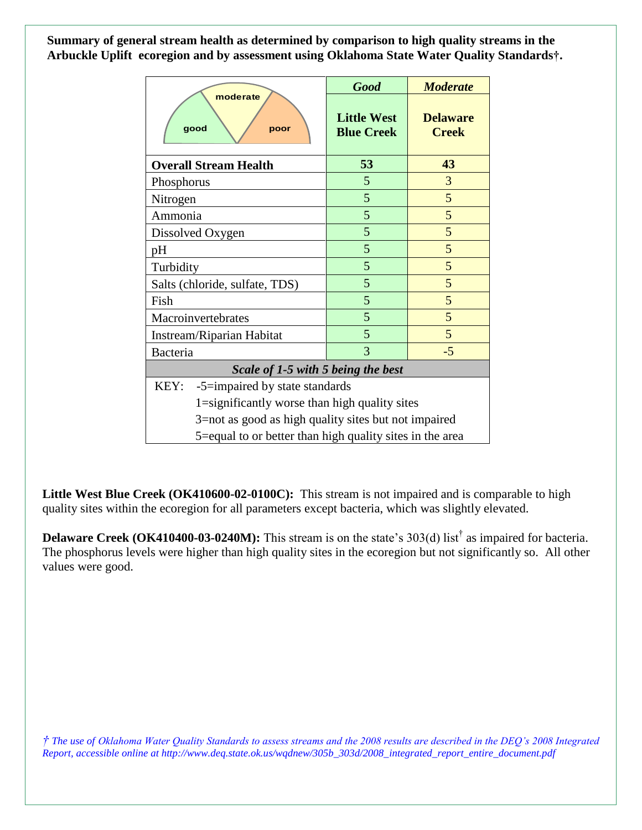**Summary of general stream health as determined by comparison to high quality streams in the Arbuckle Uplift ecoregion and by assessment using Oklahoma State Water Quality Standards†.**

| moderate<br>good<br>poor                                 | <b>Good</b>                             | <b>Moderate</b>                 |
|----------------------------------------------------------|-----------------------------------------|---------------------------------|
|                                                          | <b>Little West</b><br><b>Blue Creek</b> | <b>Delaware</b><br><b>Creek</b> |
| <b>Overall Stream Health</b>                             | 53                                      | 43                              |
| Phosphorus                                               | 5                                       | 3                               |
| Nitrogen                                                 | 5                                       | 5                               |
| Ammonia                                                  | 5                                       | 5                               |
| Dissolved Oxygen                                         | 5                                       | 5                               |
| pH                                                       | 5                                       | 5                               |
| Turbidity                                                | 5                                       | 5                               |
| Salts (chloride, sulfate, TDS)                           | 5                                       | 5                               |
| Fish                                                     | 5                                       | 5                               |
| Macroinvertebrates                                       | 5                                       | 5                               |
| Instream/Riparian Habitat                                | 5                                       | 5                               |
| Bacteria                                                 | 3                                       | $-5$                            |
| Scale of 1-5 with 5 being the best                       |                                         |                                 |
| KEY:<br>-5=impaired by state standards                   |                                         |                                 |
| 1=significantly worse than high quality sites            |                                         |                                 |
| 3=not as good as high quality sites but not impaired     |                                         |                                 |
| 5=equal to or better than high quality sites in the area |                                         |                                 |

**Little West Blue Creek (OK410600-02-0100C):** This stream is not impaired and is comparable to high quality sites within the ecoregion for all parameters except bacteria, which was slightly elevated.

**Delaware Creek (OK410400-03-0240M):** This stream is on the state's 303(d) list<sup>†</sup> as impaired for bacteria. The phosphorus levels were higher than high quality sites in the ecoregion but not significantly so. All other values were good.

*† The use of Oklahoma Water Quality Standards to assess streams and the 2008 results are described in the DEQ's 2008 Integrated Report, accessible online at http://www.deq.state.ok.us/wqdnew/305b\_303d/2008\_integrated\_report\_entire\_document.pdf*